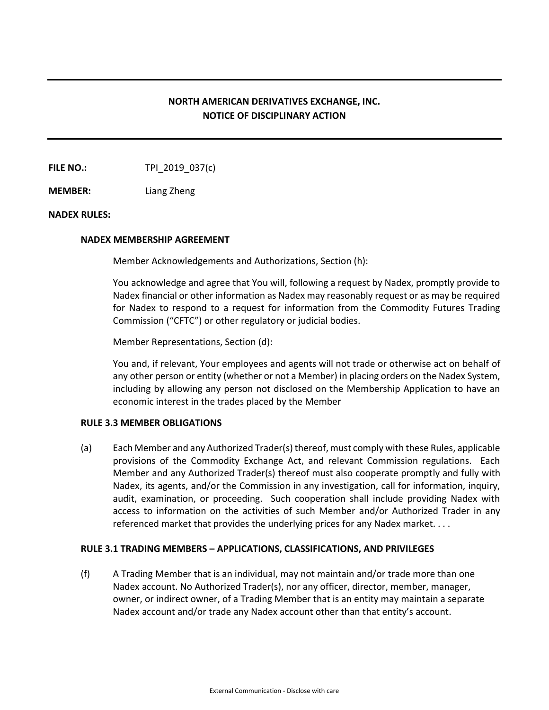# **NORTH AMERICAN DERIVATIVES EXCHANGE, INC. NOTICE OF DISCIPLINARY ACTION**

**FILE NO.:** TPI 2019 037(c)

**MEMBER:** Liang Zheng

## **NADEX RULES:**

#### **NADEX MEMBERSHIP AGREEMENT**

Member Acknowledgements and Authorizations, Section (h):

You acknowledge and agree that You will, following a request by Nadex, promptly provide to Nadex financial or other information as Nadex may reasonably request or as may be required for Nadex to respond to a request for information from the Commodity Futures Trading Commission ("CFTC") or other regulatory or judicial bodies.

Member Representations, Section (d):

You and, if relevant, Your employees and agents will not trade or otherwise act on behalf of any other person or entity (whether or not a Member) in placing orders on the Nadex System, including by allowing any person not disclosed on the Membership Application to have an economic interest in the trades placed by the Member

## **RULE 3.3 MEMBER OBLIGATIONS**

(a) Each Member and any Authorized Trader(s) thereof, must comply with these Rules, applicable provisions of the Commodity Exchange Act, and relevant Commission regulations. Each Member and any Authorized Trader(s) thereof must also cooperate promptly and fully with Nadex, its agents, and/or the Commission in any investigation, call for information, inquiry, audit, examination, or proceeding. Such cooperation shall include providing Nadex with access to information on the activities of such Member and/or Authorized Trader in any referenced market that provides the underlying prices for any Nadex market. . . .

## **RULE 3.1 TRADING MEMBERS – APPLICATIONS, CLASSIFICATIONS, AND PRIVILEGES**

(f) A Trading Member that is an individual, may not maintain and/or trade more than one Nadex account. No Authorized Trader(s), nor any officer, director, member, manager, owner, or indirect owner, of a Trading Member that is an entity may maintain a separate Nadex account and/or trade any Nadex account other than that entity's account.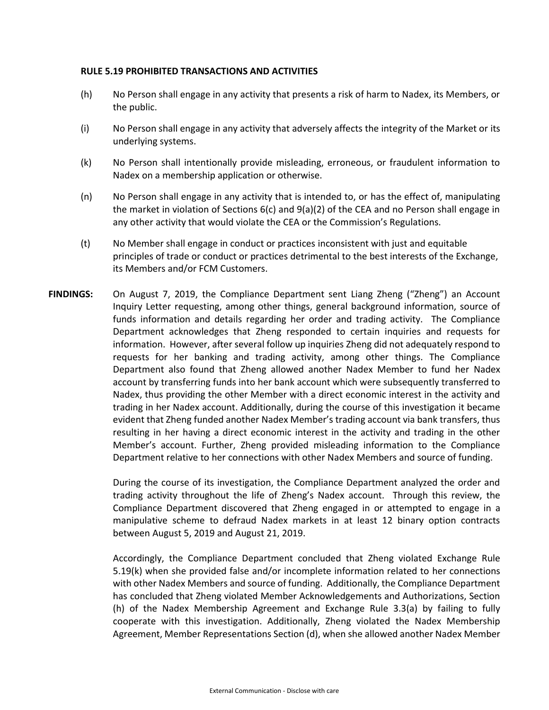## **RULE 5.19 PROHIBITED TRANSACTIONS AND ACTIVITIES**

- (h) No Person shall engage in any activity that presents a risk of harm to Nadex, its Members, or the public.
- (i) No Person shall engage in any activity that adversely affects the integrity of the Market or its underlying systems.
- (k) No Person shall intentionally provide misleading, erroneous, or fraudulent information to Nadex on a membership application or otherwise.
- (n) No Person shall engage in any activity that is intended to, or has the effect of, manipulating the market in violation of Sections 6(c) and 9(a)(2) of the CEA and no Person shall engage in any other activity that would violate the CEA or the Commission's Regulations.
- (t) No Member shall engage in conduct or practices inconsistent with just and equitable principles of trade or conduct or practices detrimental to the best interests of the Exchange, its Members and/or FCM Customers.
- **FINDINGS:** On August 7, 2019, the Compliance Department sent Liang Zheng ("Zheng") an Account Inquiry Letter requesting, among other things, general background information, source of funds information and details regarding her order and trading activity. The Compliance Department acknowledges that Zheng responded to certain inquiries and requests for information. However, after several follow up inquiries Zheng did not adequately respond to requests for her banking and trading activity, among other things. The Compliance Department also found that Zheng allowed another Nadex Member to fund her Nadex account by transferring funds into her bank account which were subsequently transferred to Nadex, thus providing the other Member with a direct economic interest in the activity and trading in her Nadex account. Additionally, during the course of this investigation it became evident that Zheng funded another Nadex Member's trading account via bank transfers, thus resulting in her having a direct economic interest in the activity and trading in the other Member's account. Further, Zheng provided misleading information to the Compliance Department relative to her connections with other Nadex Members and source of funding.

During the course of its investigation, the Compliance Department analyzed the order and trading activity throughout the life of Zheng's Nadex account. Through this review, the Compliance Department discovered that Zheng engaged in or attempted to engage in a manipulative scheme to defraud Nadex markets in at least 12 binary option contracts between August 5, 2019 and August 21, 2019.

Accordingly, the Compliance Department concluded that Zheng violated Exchange Rule 5.19(k) when she provided false and/or incomplete information related to her connections with other Nadex Members and source of funding. Additionally, the Compliance Department has concluded that Zheng violated Member Acknowledgements and Authorizations, Section (h) of the Nadex Membership Agreement and Exchange Rule 3.3(a) by failing to fully cooperate with this investigation. Additionally, Zheng violated the Nadex Membership Agreement, Member Representations Section (d), when she allowed another Nadex Member